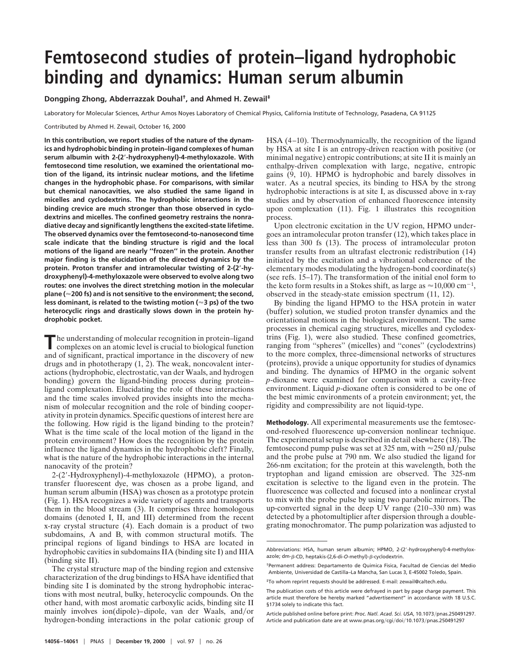## **Femtosecond studies of protein–ligand hydrophobic binding and dynamics: Human serum albumin**

## **Dongping Zhong, Abderrazzak Douhal†, and Ahmed H. Zewail‡**

Laboratory for Molecular Sciences, Arthur Amos Noyes Laboratory of Chemical Physics, California Institute of Technology, Pasadena, CA 91125

Contributed by Ahmed H. Zewail, October 16, 2000

**In this contribution, we report studies of the nature of the dynamics and hydrophobic binding in protein–ligand complexes of human serum albumin with 2-(2**\***-hydroxyphenyl)-4-methyloxazole. With femtosecond time resolution, we examined the orientational motion of the ligand, its intrinsic nuclear motions, and the lifetime changes in the hydrophobic phase. For comparisons, with similar but chemical nanocavities, we also studied the same ligand in micelles and cyclodextrins. The hydrophobic interactions in the binding crevice are much stronger than those observed in cyclodextrins and micelles. The confined geometry restrains the nonradiative decay and significantly lengthens the excited-state lifetime. The observed dynamics over the femtosecond-to-nanosecond time scale indicate that the binding structure is rigid and the local motions of the ligand are nearly ''frozen'' in the protein. Another major finding is the elucidation of the directed dynamics by the protein. Proton transfer and intramolecular twisting of 2-(2**\***-hydroxyphenyl)-4-methyloxazole were observed to evolve along two routes: one involves the direct stretching motion in the molecular plane (**'**200 fs) and is not sensitive to the environment; the second, less dominant, is related to the twisting motion (**'**3 ps) of the two heterocyclic rings and drastically slows down in the protein hydrophobic pocket.**

The understanding of molecular recognition in protein–ligand complexes on an atomic level is crucial to biological function and of significant, practical importance in the discovery of new drugs and in phototherapy (1, 2). The weak, noncovalent interactions (hydrophobic, electrostatic, van der Waals, and hydrogen bonding) govern the ligand-binding process during protein– ligand complexation. Elucidating the role of these interactions and the time scales involved provides insights into the mechanism of molecular recognition and the role of binding cooperativity in protein dynamics. Specific questions of interest here are the following. How rigid is the ligand binding to the protein? What is the time scale of the local motion of the ligand in the protein environment? How does the recognition by the protein influence the ligand dynamics in the hydrophobic cleft? Finally, what is the nature of the hydrophobic interactions in the internal nanocavity of the protein?

2-(2'-Hydroxyphenyl)-4-methyloxazole (HPMO), a protontransfer fluorescent dye, was chosen as a probe ligand, and human serum albumin (HSA) was chosen as a prototype protein (Fig. 1). HSA recognizes a wide variety of agents and transports them in the blood stream (3). It comprises three homologous domains (denoted I, II, and III) determined from the recent x-ray crystal structure (4). Each domain is a product of two subdomains, A and B, with common structural motifs. The principal regions of ligand bindings to HSA are located in hydrophobic cavities in subdomains IIA (binding site I) and IIIA (binding site II).

The crystal structure map of the binding region and extensive characterization of the drug bindings to HSA have identified that binding site I is dominated by the strong hydrophobic interactions with most neutral, bulky, heterocyclic compounds. On the other hand, with most aromatic carboxylic acids, binding site II mainly involves ion(dipole)–dipole, van der Waals, and/or hydrogen-bonding interactions in the polar cationic group of

HSA (4–10). Thermodynamically, the recognition of the ligand by HSA at site I is an entropy-driven reaction with positive (or minimal negative) entropic contributions; at site II it is mainly an enthalpy-driven complexation with large, negative, entropic gains (9, 10). HPMO is hydrophobic and barely dissolves in water. As a neutral species, its binding to HSA by the strong hydrophobic interactions is at site I, as discussed above in x-ray studies and by observation of enhanced fluorescence intensity upon complexation (11). Fig. 1 illustrates this recognition process.

Upon electronic excitation in the UV region, HPMO undergoes an intramolecular proton transfer (12), which takes place in less than 300 fs (13). The process of intramolecular proton transfer results from an ultrafast electronic redistribution (14) initiated by the excitation and a vibrational coherence of the elementary modes modulating the hydrogen-bond coordinate(s) (see refs. 15–17). The transformation of the initial enol form to the keto form results in a Stokes shift, as large as  $\approx 10,000$  cm<sup>-1</sup>, observed in the steady-state emission spectrum (11, 12).

By binding the ligand HPMO to the HSA protein in water (buffer) solution, we studied proton transfer dynamics and the orientational motions in the biological environment. The same processes in chemical caging structures, micelles and cyclodextrins (Fig. 1), were also studied. These confined geometries, ranging from ''spheres'' (micelles) and ''cones'' (cyclodextrins) to the more complex, three-dimensional networks of structures (proteins), provide a unique opportunity for studies of dynamics and binding. The dynamics of HPMO in the organic solvent *p*-dioxane were examined for comparison with a cavity-free environment. Liquid *p*-dioxane often is considered to be one of the best mimic environments of a protein environment; yet, the rigidity and compressibility are not liquid-type.

**Methodology.** All experimental measurements use the femtosecond-resolved fluorescence up-conversion nonlinear technique. The experimental setup is described in detail elsewhere (18). The femtosecond pump pulse was set at 325 nm, with  $\approx$ 250 nJ/pulse and the probe pulse at 790 nm. We also studied the ligand for 266-nm excitation; for the protein at this wavelength, both the tryptophan and ligand emission are observed. The 325-nm excitation is selective to the ligand even in the protein. The fluorescence was collected and focused into a nonlinear crystal to mix with the probe pulse by using two parabolic mirrors. The up-converted signal in the deep UV range (210–330 nm) was detected by a photomultiplier after dispersion through a doublegrating monochromator. The pump polarization was adjusted to

Abbreviations: HSA, human serum albumin; HPMO, 2-(2'-hydroxyphenyl)-4-methyloxazole; dm- $\beta$ -CD, heptakis-(2,6-di-O-methyl)- $\beta$ -cyclodextrin.

<sup>†</sup>Permanent address: Departamento de Quimica Fisica, Facultad de Ciencias del Medio Ambiente, Universidad de Castilla–La Mancha, San Lucas 3, E-45002 Toledo, Spain.

<sup>‡</sup>To whom reprint requests should be addressed. E-mail: zewail@caltech.edu.

The publication costs of this article were defrayed in part by page charge payment. This article must therefore be hereby marked "*advertisement*" in accordance with 18 U.S.C. §1734 solely to indicate this fact.

Article published online before print: Proc. Natl. Acad. Sci. USA, 10.1073/pnas.250491297. Article and publication date are at www.pnas.org/cgi/doi/10.1073/pnas.250491297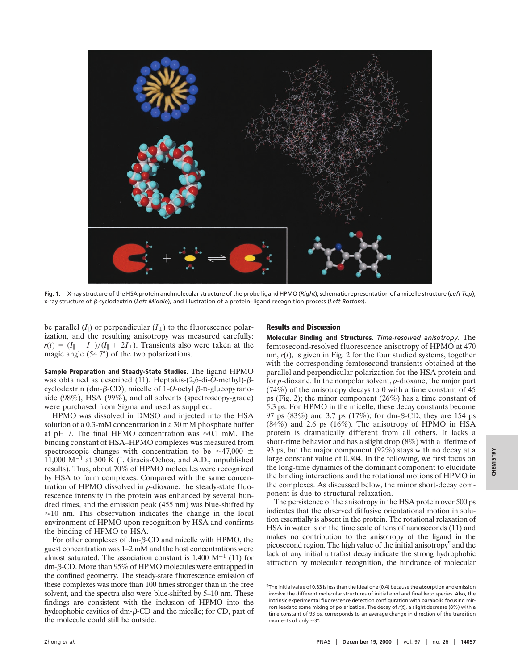

**Fig. 1.** X-ray structure of the HSA protein and molecular structure of the probe ligand HPMO (*Right*), schematic representation of a micelle structure (*Left Top*), x-ray structure of b-cyclodextrin (*Left Middle*), and illustration of a protein–ligand recognition process (*Left Bottom*).

be parallel  $(I_{\parallel})$  or perpendicular  $(I_{\perp})$  to the fluorescence polarization, and the resulting anisotropy was measured carefully:  $r(t) = (I_{\parallel} - I_{\perp})/(I_{\parallel} + 2I_{\perp})$ . Transients also were taken at the magic angle (54.7°) of the two polarizations.

**Sample Preparation and Steady-State Studies.** The ligand HPMO was obtained as described (11). Heptakis-(2,6-di-*O*-methyl)-βcyclodextrin (dm- $\beta$ -CD), micelle of 1-*O*-octyl  $\beta$ -D-glucopyranoside (98%), HSA (99%), and all solvents (spectroscopy-grade) were purchased from Sigma and used as supplied.

HPMO was dissolved in DMSO and injected into the HSA solution of a 0.3-mM concentration in a 30 mM phosphate buffer at pH 7. The final HPMO concentration was  $\approx 0.1$  mM. The binding constant of HSA–HPMO complexes was measured from spectroscopic changes with concentration to be  $\approx$ 47,000  $\pm$ 11,000  $M^{-1}$  at 300 K (I. Gracia-Ochoa, and A.D., unpublished results). Thus, about 70% of HPMO molecules were recognized by HSA to form complexes. Compared with the same concentration of HPMO dissolved in *p*-dioxane, the steady-state fluorescence intensity in the protein was enhanced by several hundred times, and the emission peak (455 nm) was blue-shifted by  $\approx$ 10 nm. This observation indicates the change in the local environment of HPMO upon recognition by HSA and confirms the binding of HPMO to HSA.

For other complexes of  $dm$ - $\beta$ -CD and micelle with HPMO, the guest concentration was 1–2 mM and the host concentrations were almost saturated. The association constant is  $1,400 \text{ M}^{-1}$  (11) for dm-b-CD. More than 95% of HPMO molecules were entrapped in the confined geometry. The steady-state fluorescence emission of these complexes was more than 100 times stronger than in the free solvent, and the spectra also were blue-shifted by 5–10 nm. These findings are consistent with the inclusion of HPMO into the hydrophobic cavities of dm- $\beta$ -CD and the micelle; for CD, part of the molecule could still be outside.

## **Results and Discussion**

**Molecular Binding and Structures.** *Time-resolved anisotropy.* The femtosecond-resolved fluorescence anisotropy of HPMO at 470 nm, *r*(*t*), is given in Fig. 2 for the four studied systems, together with the corresponding femtosecond transients obtained at the parallel and perpendicular polarization for the HSA protein and for *p*-dioxane. In the nonpolar solvent, *p*-dioxane, the major part (74%) of the anisotropy decays to 0 with a time constant of 45 ps (Fig. 2); the minor component (26%) has a time constant of 5.3 ps. For HPMO in the micelle, these decay constants become 97 ps  $(83\%)$  and 3.7 ps  $(17\%)$ ; for dm- $\beta$ -CD, they are 154 ps  $(84%)$  and 2.6 ps  $(16%)$ . The anisotropy of HPMO in HSA protein is dramatically different from all others. It lacks a short-time behavior and has a slight drop (8%) with a lifetime of 93 ps, but the major component (92%) stays with no decay at a large constant value of 0.304. In the following, we first focus on the long-time dynamics of the dominant component to elucidate the binding interactions and the rotational motions of HPMO in the complexes. As discussed below, the minor short-decay component is due to structural relaxation.

The persistence of the anisotropy in the HSA protein over 500 ps indicates that the observed diffusive orientational motion in solution essentially is absent in the protein. The rotational relaxation of HSA in water is on the time scale of tens of nanoseconds (11) and makes no contribution to the anisotropy of the ligand in the picosecond region. The high value of the initial anisotropy<sup>1</sup> and the lack of any initial ultrafast decay indicate the strong hydrophobic attraction by molecular recognition, the hindrance of molecular

<sup>¶</sup>The initial value of 0.33 is less than the ideal one (0.4) because the absorption and emission involve the different molecular structures of initial enol and final keto species. Also, the intrinsic experimental fluorescence detection configuration with parabolic focusing mirrors leads to some mixing of polarization. The decay of *r*(*t*), a slight decrease (8%) with a time constant of 93 ps, corresponds to an average change in direction of the transition moments of only  $\approx$ 3°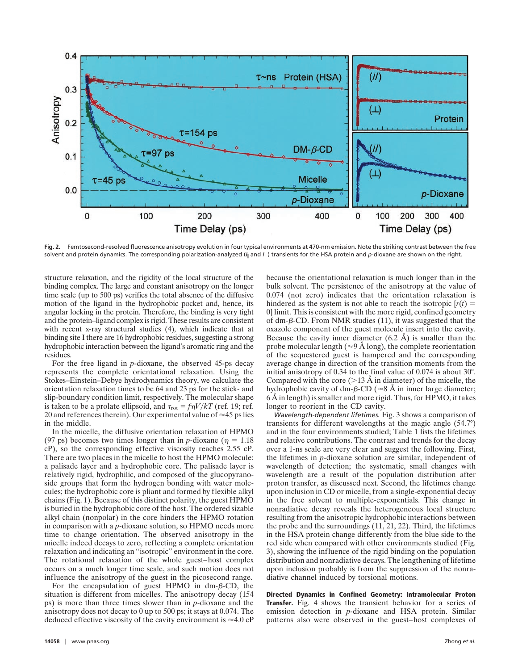

**Fig. 2.** Femtosecond-resolved fluorescence anisotropy evolution in four typical environments at 470-nm emission. Note the striking contrast between the free solvent and protein dynamics. The corresponding polarization-analyzed (*I*<sup>i</sup> and *I*') transients for the HSA protein and *p*-dioxane are shown on the right.

structure relaxation, and the rigidity of the local structure of the binding complex. The large and constant anisotropy on the longer time scale (up to 500 ps) verifies the total absence of the diffusive motion of the ligand in the hydrophobic pocket and, hence, its angular locking in the protein. Therefore, the binding is very tight and the protein–ligand complex is rigid. These results are consistent with recent x-ray structural studies (4), which indicate that at binding site I there are 16 hydrophobic residues, suggesting a strong hydrophobic interaction between the ligand's aromatic ring and the residues.

For the free ligand in *p*-dioxane, the observed 45-ps decay represents the complete orientational relaxation. Using the Stokes–Einstein–Debye hydrodynamics theory, we calculate the orientation relaxation times to be 64 and 23 ps for the stick- and slip-boundary condition limit, respectively. The molecular shape is taken to be a prolate ellipsoid, and  $\tau_{\text{rot}} = f\eta V/kT$  (ref. 19; ref. 20 and references therein). Our experimental value of  $\approx$  45 ps lies in the middle.

In the micelle, the diffusive orientation relaxation of HPMO (97 ps) becomes two times longer than in *p*-dioxane ( $\eta = 1.18$ ) cP), so the corresponding effective viscosity reaches 2.55 cP. There are two places in the micelle to host the HPMO molecule: a palisade layer and a hydrophobic core. The palisade layer is relatively rigid, hydrophilic, and composed of the glucopyranoside groups that form the hydrogen bonding with water molecules; the hydrophobic core is pliant and formed by flexible alkyl chains (Fig. 1). Because of this distinct polarity, the guest HPMO is buried in the hydrophobic core of the host. The ordered sizable alkyl chain (nonpolar) in the core hinders the HPMO rotation in comparison with a *p*-dioxane solution, so HPMO needs more time to change orientation. The observed anisotropy in the micelle indeed decays to zero, reflecting a complete orientation relaxation and indicating an ''isotropic'' environment in the core. The rotational relaxation of the whole guest–host complex occurs on a much longer time scale, and such motion does not influence the anisotropy of the guest in the picosecond range.

For the encapsulation of guest HPMO in  $dm$ - $\beta$ -CD, the situation is different from micelles. The anisotropy decay (154 ps) is more than three times slower than in *p*-dioxane and the anisotropy does not decay to 0 up to 500 ps; it stays at 0.074. The deduced effective viscosity of the cavity environment is  $\approx 4.0 \text{ cP}$  because the orientational relaxation is much longer than in the bulk solvent. The persistence of the anisotropy at the value of 0.074 (not zero) indicates that the orientation relaxation is hindered as the system is not able to reach the isotropic  $[r(t)]$ 0] limit. This is consistent with the more rigid, confined geometry of dm- $\beta$ -CD. From NMR studies (11), it was suggested that the oxazole component of the guest molecule insert into the cavity. Because the cavity inner diameter  $(6.2 \text{ Å})$  is smaller than the probe molecular length ( $\approx$ 9 Å long), the complete reorientation of the sequestered guest is hampered and the corresponding average change in direction of the transition moments from the initial anisotropy of 0.34 to the final value of 0.074 is about 30°. Compared with the core ( $>13$  Å in diameter) of the micelle, the hydrophobic cavity of dm- $\beta$ -CD ( $\approx$ 8 Å in inner large diameter; 6 Å in length) is smaller and more rigid. Thus, for HPMO, it takes longer to reorient in the CD cavity.

*Wavelength-dependent lifetimes.* Fig. 3 shows a comparison of transients for different wavelengths at the magic angle (54.7°) and in the four environments studied; Table 1 lists the lifetimes and relative contributions. The contrast and trends for the decay over a 1-ns scale are very clear and suggest the following. First, the lifetimes in *p*-dioxane solution are similar, independent of wavelength of detection; the systematic, small changes with wavelength are a result of the population distribution after proton transfer, as discussed next. Second, the lifetimes change upon inclusion in CD or micelle, from a single-exponential decay in the free solvent to multiple-exponentials. This change in nonradiative decay reveals the heterogeneous local structure resulting from the anisotropic hydrophobic interactions between the probe and the surroundings (11, 21, 22). Third, the lifetimes in the HSA protein change differently from the blue side to the red side when compared with other environments studied (Fig. 3), showing the influence of the rigid binding on the population distribution and nonradiative decays. The lengthening of lifetime upon inclusion probably is from the suppression of the nonradiative channel induced by torsional motions.

**Directed Dynamics in Confined Geometry: Intramolecular Proton Transfer.** Fig. 4 shows the transient behavior for a series of emission detection in *p-*dioxane and HSA protein. Similar patterns also were observed in the guest–host complexes of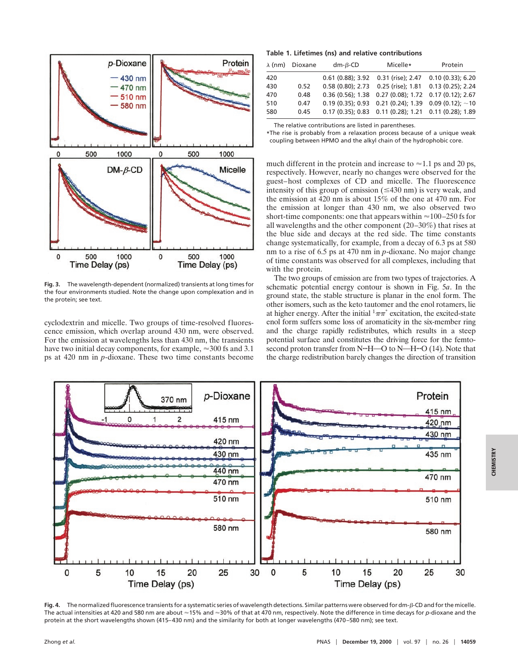

**Fig. 3.** The wavelength-dependent (normalized) transients at long times for the four environments studied. Note the change upon complexation and in the protein; see text.

cyclodextrin and micelle. Two groups of time-resolved fluorescence emission, which overlap around 430 nm, were observed. For the emission at wavelengths less than 430 nm, the transients have two initial decay components, for example,  $\approx 300$  fs and 3.1 ps at 420 nm in *p*-dioxane. These two time constants become

## **Table 1. Lifetimes (ns) and relative contributions**

|     | $\lambda$ (nm) Dioxane | $dm - \beta$ -CD | Micelle*                                                   | Protein             |
|-----|------------------------|------------------|------------------------------------------------------------|---------------------|
| 420 |                        |                  | 0.61 (0.88); 3.92 0.31 (rise); 2.47                        | $0.10(0.33)$ ; 6.20 |
| 430 | 0.52                   |                  | 0.58 (0.80); 2.73  0.25 (rise); 1.81  0.13 (0.25); 2.24    |                     |
| 470 | 0.48                   |                  | 0.36 (0.56); 1.38 0.27 (0.08); 1.72 0.17 (0.12); 2.67      |                     |
| 510 | 0.47                   |                  | 0.19 (0.35); 0.93 0.21 (0.24); 1.39 0.09 (0.12); $\sim$ 10 |                     |
| 580 | 0.45                   |                  | 0.17 (0.35); 0.83  0.11 (0.28); 1.21  0.11 (0.28); 1.89    |                     |

The relative contributions are listed in parentheses.

**\***The rise is probably from a relaxation process because of a unique weak coupling between HPMO and the alkyl chain of the hydrophobic core.

much different in the protein and increase to  $\approx$  1.1 ps and 20 ps, respectively. However, nearly no changes were observed for the guest–host complexes of CD and micelle. The fluorescence intensity of this group of emission  $(\leq 430 \text{ nm})$  is very weak, and the emission at 420 nm is about 15% of the one at 470 nm. For the emission at longer than 430 nm, we also observed two short-time components: one that appears within  $\approx$  100–250 fs for all wavelengths and the other component (20–30%) that rises at the blue side and decays at the red side. The time constants change systematically, for example, from a decay of 6.3 ps at 580 nm to a rise of 6.5 ps at 470 nm in *p*-dioxane. No major change of time constants was observed for all complexes, including that with the protein.

The two groups of emission are from two types of trajectories. A schematic potential energy contour is shown in Fig. 5*a*. In the ground state, the stable structure is planar in the enol form. The other isomers, such as the keto tautomer and the enol rotamers, lie at higher energy. After the initial  $\frac{1}{2}\pi\pi^*$  excitation, the excited-state enol form suffers some loss of aromaticity in the six-member ring and the charge rapidly redistributes, which results in a steep potential surface and constitutes the driving force for the femtosecond proton transfer from N<sup>o</sup>H—O to N—H<sup>oo</sup> (14). Note that the charge redistribution barely changes the direction of transition



**Fig. 4.** The normalized fluorescence transients for a systematic series of wavelength detections. Similar patterns were observed for dm-b-CD and for the micelle. The actual intensities at 420 and 580 nm are about ≈15% and ≈30% of that at 470 nm, respectively. Note the difference in time decays for *p*-dioxane and the protein at the short wavelengths shown (415–430 nm) and the similarity for both at longer wavelengths (470–580 nm); see text.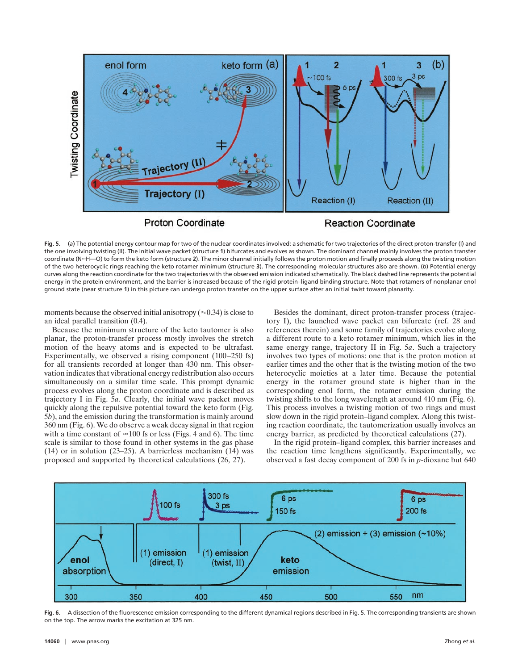

**Fig. 5.** (*a*) The potential energy contour map for two of the nuclear coordinates involved: a schematic for two trajectories of the direct proton-transfer (I) and the one involving twisting (II). The initial wave packet (structure **1**) bifurcates and evolves as shown. The dominant channel mainly involves the proton transfer coordinate (N<sup>--+</sup>H--O) to form the keto form (structure 2). The minor channel initially follows the proton motion and finally proceeds along the twisting motion of the two heterocyclic rings reaching the keto rotamer minimum (structure **3**). The corresponding molecular structures also are shown. (*b*) Potential energy curves along the reaction coordinate for the two trajectories with the observed emission indicated schematically. The black dashed line represents the potential energy in the protein environment, and the barrier is increased because of the rigid protein–ligand binding structure. Note that rotamers of nonplanar enol ground state (near structure **1**) in this picture can undergo proton transfer on the upper surface after an initial twist toward planarity.

moments because the observed initial anisotropy ( $\approx 0.34$ ) is close to an ideal parallel transition (0.4).

Because the minimum structure of the keto tautomer is also planar, the proton-transfer process mostly involves the stretch motion of the heavy atoms and is expected to be ultrafast. Experimentally, we observed a rising component (100–250 fs) for all transients recorded at longer than 430 nm. This observation indicates that vibrational energy redistribution also occurs simultaneously on a similar time scale. This prompt dynamic process evolves along the proton coordinate and is described as trajectory I in Fig. 5*a*. Clearly, the initial wave packet moves quickly along the repulsive potential toward the keto form (Fig. 5*b*), and the emission during the transformation is mainly around 360 nm (Fig. 6). We do observe a weak decay signal in that region with a time constant of  $\approx$  100 fs or less (Figs. 4 and 6). The time scale is similar to those found in other systems in the gas phase (14) or in solution (23–25). A barrierless mechanism  $(14)$  was proposed and supported by theoretical calculations (26, 27).

Besides the dominant, direct proton-transfer process (trajectory I), the launched wave packet can bifurcate (ref. 28 and references therein) and some family of trajectories evolve along a different route to a keto rotamer minimum, which lies in the same energy range, trajectory II in Fig. 5*a*. Such a trajectory involves two types of motions: one that is the proton motion at earlier times and the other that is the twisting motion of the two heterocyclic moieties at a later time. Because the potential energy in the rotamer ground state is higher than in the corresponding enol form, the rotamer emission during the twisting shifts to the long wavelength at around 410 nm (Fig. 6). This process involves a twisting motion of two rings and must slow down in the rigid protein–ligand complex. Along this twisting reaction coordinate, the tautomerization usually involves an energy barrier, as predicted by theoretical calculations (27).

In the rigid protein–ligand complex, this barrier increases and the reaction time lengthens significantly. Experimentally, we observed a fast decay component of 200 fs in *p*-dioxane but 640



**Fig. 6.** A dissection of the fluorescence emission corresponding to the different dynamical regions described in Fig. 5. The corresponding transients are shown on the top. The arrow marks the excitation at 325 nm.